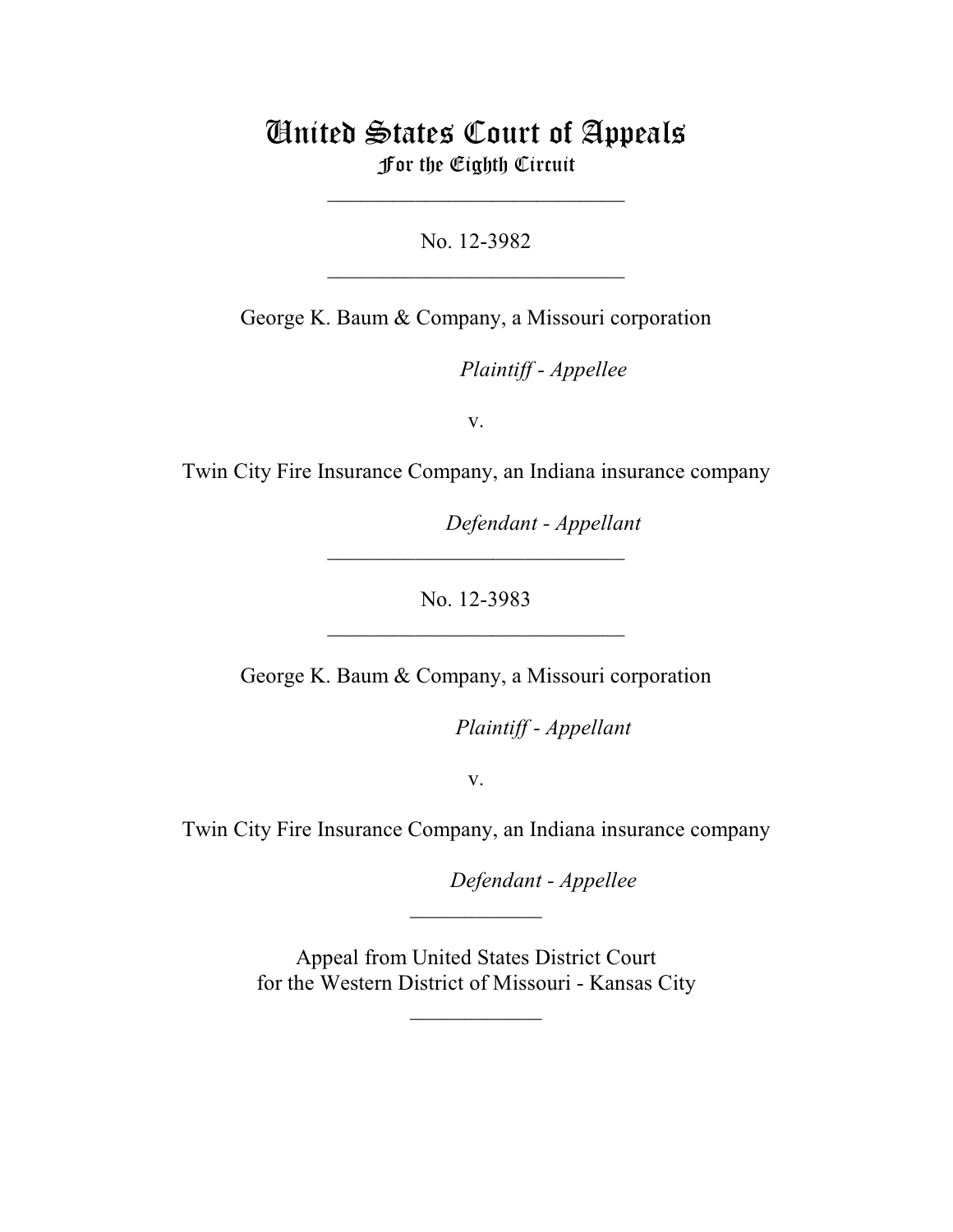# United States Court of Appeals For the Eighth Circuit

\_\_\_\_\_\_\_\_\_\_\_\_\_\_\_\_\_\_\_\_\_\_\_\_\_\_\_

No. 12-3982  $\mathcal{L}_\text{max}$  , which is a set of the set of the set of the set of the set of the set of the set of the set of the set of the set of the set of the set of the set of the set of the set of the set of the set of the set of

George K. Baum & Company, a Missouri corporation

Plaintiff - Appellee

v.

Twin City Fire Insurance Company, an Indiana insurance company

Defendant - Appellant

No. 12-3983

\_\_\_\_\_\_\_\_\_\_\_\_\_\_\_\_\_\_\_\_\_\_\_\_\_\_\_

 $\mathcal{L}_\text{max}$  , which is a set of the set of the set of the set of the set of the set of the set of the set of the set of the set of the set of the set of the set of the set of the set of the set of the set of the set of

George K. Baum & Company, a Missouri corporation

lllllllllllllllllllll *Plaintiff - Appellant*

v.

Twin City Fire Insurance Company, an Indiana insurance company

**Defendant - Appellee** 

 Appeal from United States District Court for the Western District of Missouri - Kansas City

 $\frac{1}{2}$ 

 $\frac{1}{2}$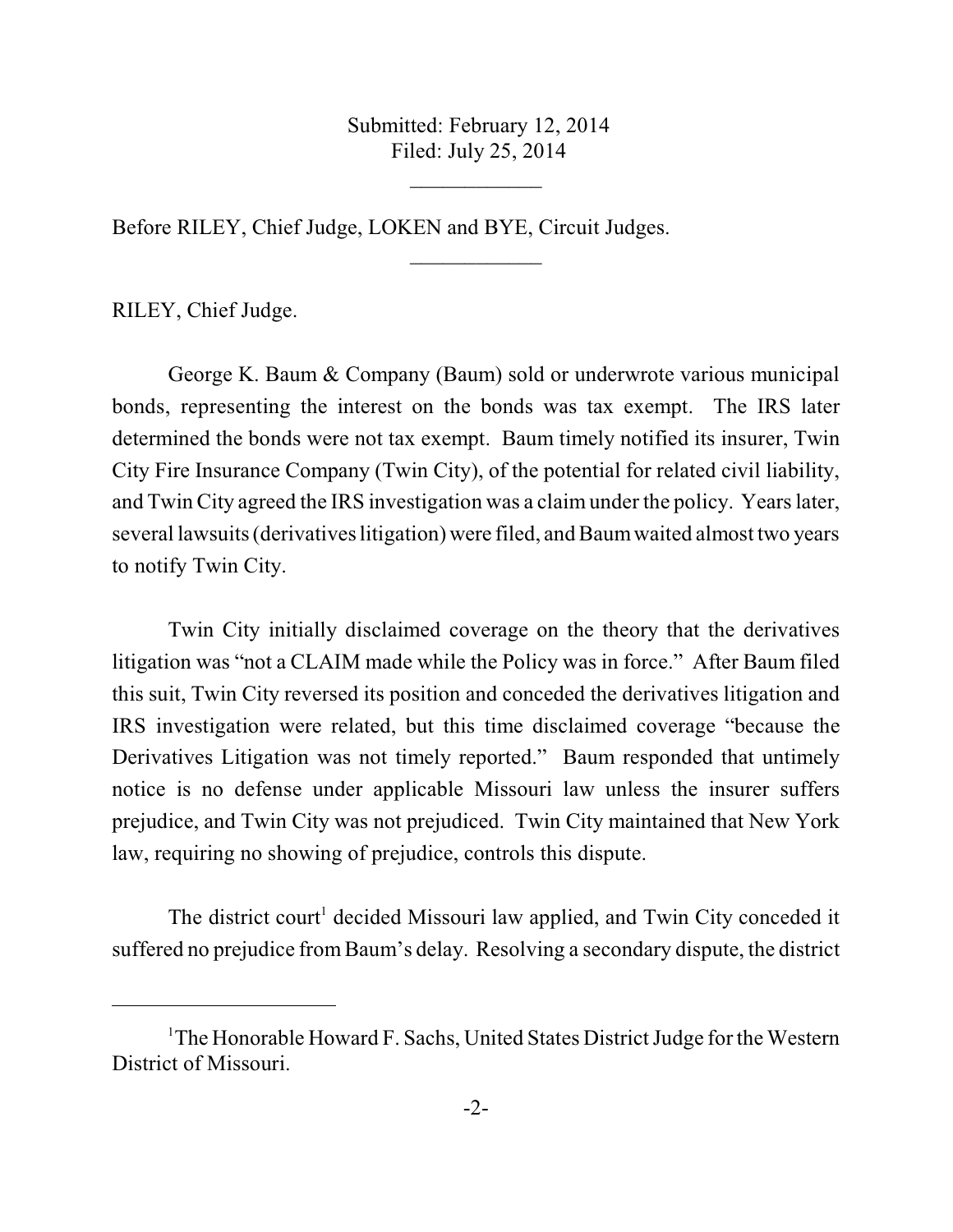Submitted: February 12, 2014 Filed: July 25, 2014

 $\frac{1}{2}$ 

 $\frac{1}{2}$ 

Before RILEY, Chief Judge, LOKEN and BYE, Circuit Judges.

RILEY, Chief Judge.

George K. Baum & Company (Baum) sold or underwrote various municipal bonds, representing the interest on the bonds was tax exempt. The IRS later determined the bonds were not tax exempt. Baum timely notified its insurer, Twin City Fire Insurance Company (Twin City), of the potential for related civil liability, and Twin City agreed the IRS investigation was a claim under the policy. Years later, several lawsuits (derivatives litigation) were filed, and Baumwaited almost two years to notify Twin City.

Twin City initially disclaimed coverage on the theory that the derivatives litigation was "not a CLAIM made while the Policy was in force." After Baum filed this suit, Twin City reversed its position and conceded the derivatives litigation and IRS investigation were related, but this time disclaimed coverage "because the Derivatives Litigation was not timely reported." Baum responded that untimely notice is no defense under applicable Missouri law unless the insurer suffers prejudice, and Twin City was not prejudiced. Twin City maintained that New York law, requiring no showing of prejudice, controls this dispute.

The district court<sup>1</sup> decided Missouri law applied, and Twin City conceded it suffered no prejudice from Baum's delay. Resolving a secondary dispute, the district

 $1$ <sup>T</sup>he Honorable Howard F. Sachs, United States District Judge for the Western District of Missouri.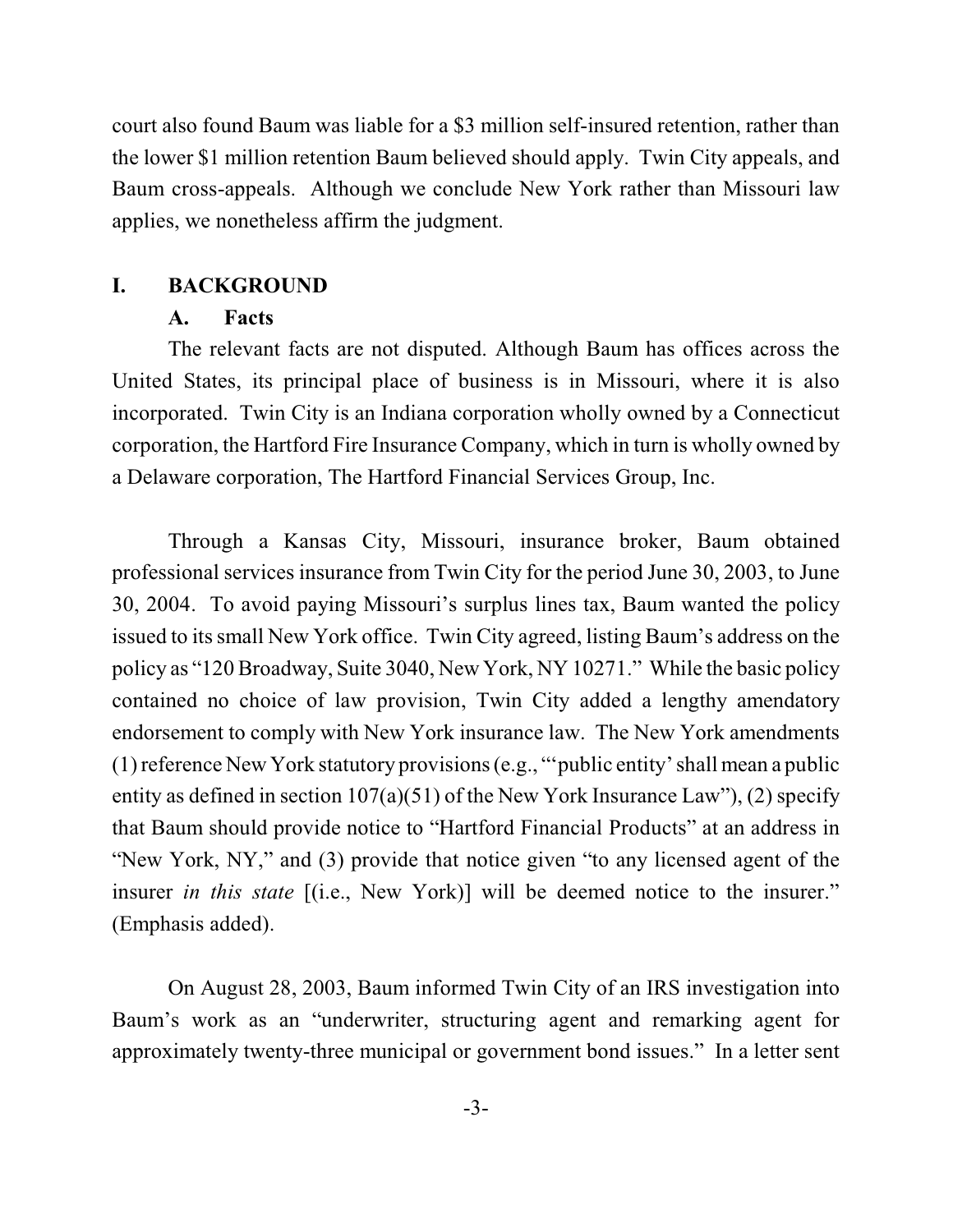court also found Baum was liable for a \$3 million self-insured retention, rather than the lower \$1 million retention Baum believed should apply. Twin City appeals, and Baum cross-appeals. Although we conclude New York rather than Missouri law applies, we nonetheless affirm the judgment.

#### **I. BACKGROUND**

#### **A. Facts**

The relevant facts are not disputed. Although Baum has offices across the United States, its principal place of business is in Missouri, where it is also incorporated. Twin City is an Indiana corporation wholly owned by a Connecticut corporation, the Hartford Fire Insurance Company, which in turn is wholly owned by a Delaware corporation, The Hartford Financial Services Group, Inc.

Through a Kansas City, Missouri, insurance broker, Baum obtained professional services insurance from Twin City for the period June 30, 2003, to June 30, 2004. To avoid paying Missouri's surplus lines tax, Baum wanted the policy issued to its small New York office. Twin City agreed, listing Baum's address on the policy as "120 Broadway, Suite 3040, New York, NY 10271." While the basic policy contained no choice of law provision, Twin City added a lengthy amendatory endorsement to comply with New York insurance law. The New York amendments (1) reference New York statutory provisions(e.g., "'public entity'shall mean a public entity as defined in section 107(a)(51) of the New York Insurance Law"), (2) specify that Baum should provide notice to "Hartford Financial Products" at an address in "New York, NY," and (3) provide that notice given "to any licensed agent of the insurer *in this state* [(i.e., New York)] will be deemed notice to the insurer." (Emphasis added).

On August 28, 2003, Baum informed Twin City of an IRS investigation into Baum's work as an "underwriter, structuring agent and remarking agent for approximately twenty-three municipal or government bond issues." In a letter sent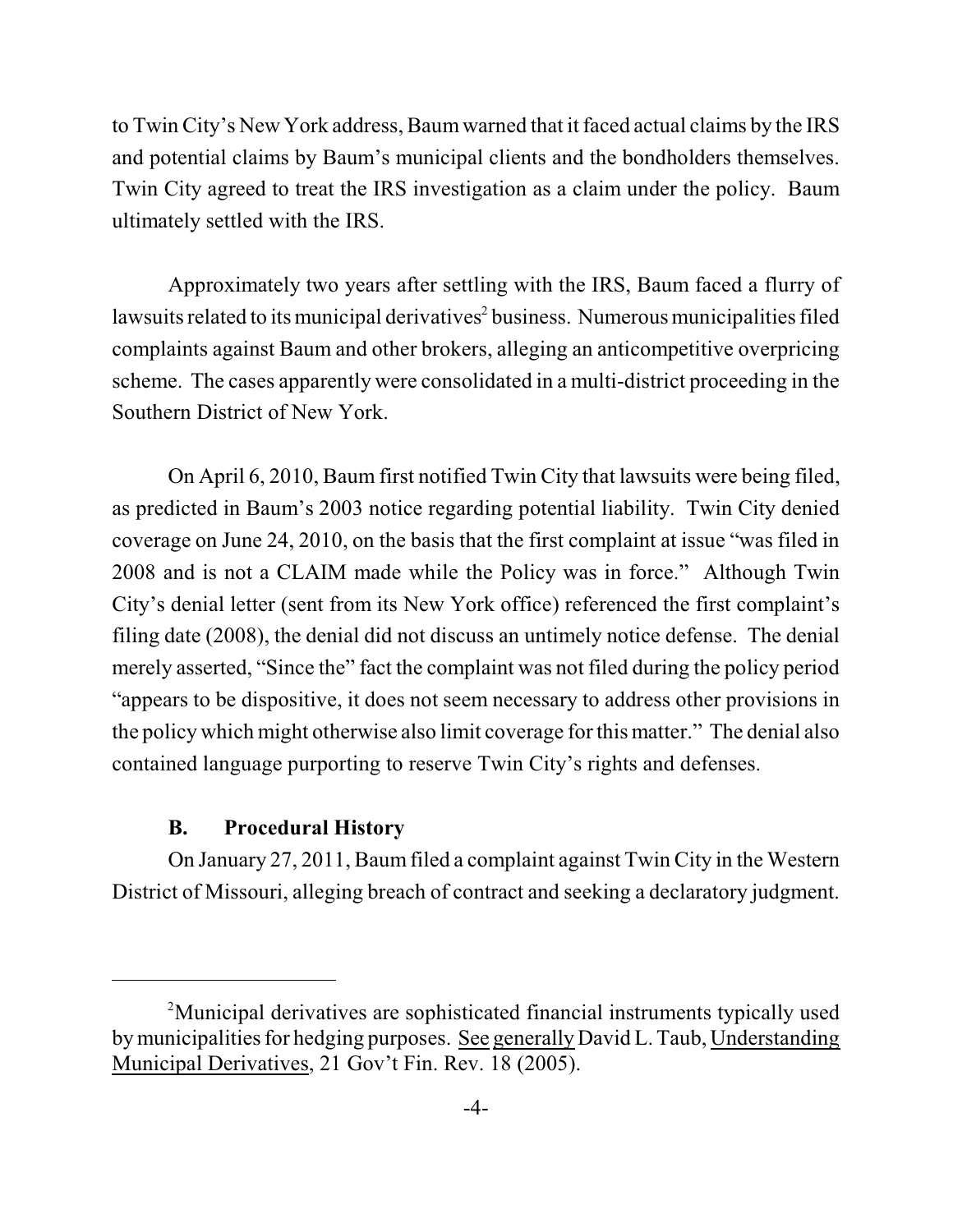to Twin City's New York address, Baumwarned that it faced actual claims by the IRS and potential claims by Baum's municipal clients and the bondholders themselves. Twin City agreed to treat the IRS investigation as a claim under the policy. Baum ultimately settled with the IRS.

Approximately two years after settling with the IRS, Baum faced a flurry of lawsuits related to its municipal derivatives<sup>2</sup> business. Numerous municipalities filed complaints against Baum and other brokers, alleging an anticompetitive overpricing scheme. The cases apparently were consolidated in a multi-district proceeding in the Southern District of New York.

On April 6, 2010, Baum first notified Twin City that lawsuits were being filed, as predicted in Baum's 2003 notice regarding potential liability. Twin City denied coverage on June 24, 2010, on the basis that the first complaint at issue "was filed in 2008 and is not a CLAIM made while the Policy was in force." Although Twin City's denial letter (sent from its New York office) referenced the first complaint's filing date (2008), the denial did not discuss an untimely notice defense. The denial merely asserted, "Since the" fact the complaint was not filed during the policy period "appears to be dispositive, it does not seem necessary to address other provisions in the policy which might otherwise also limit coverage for this matter." The denial also contained language purporting to reserve Twin City's rights and defenses.

### **B. Procedural History**

On January 27, 2011, Baumfiled a complaint against Twin City in the Western District of Missouri, alleging breach of contract and seeking a declaratory judgment.

Municipal derivatives are sophisticated financial instruments typically used <sup>2</sup> by municipalities for hedging purposes. See generally David L. Taub, Understanding Municipal Derivatives, 21 Gov't Fin. Rev. 18 (2005).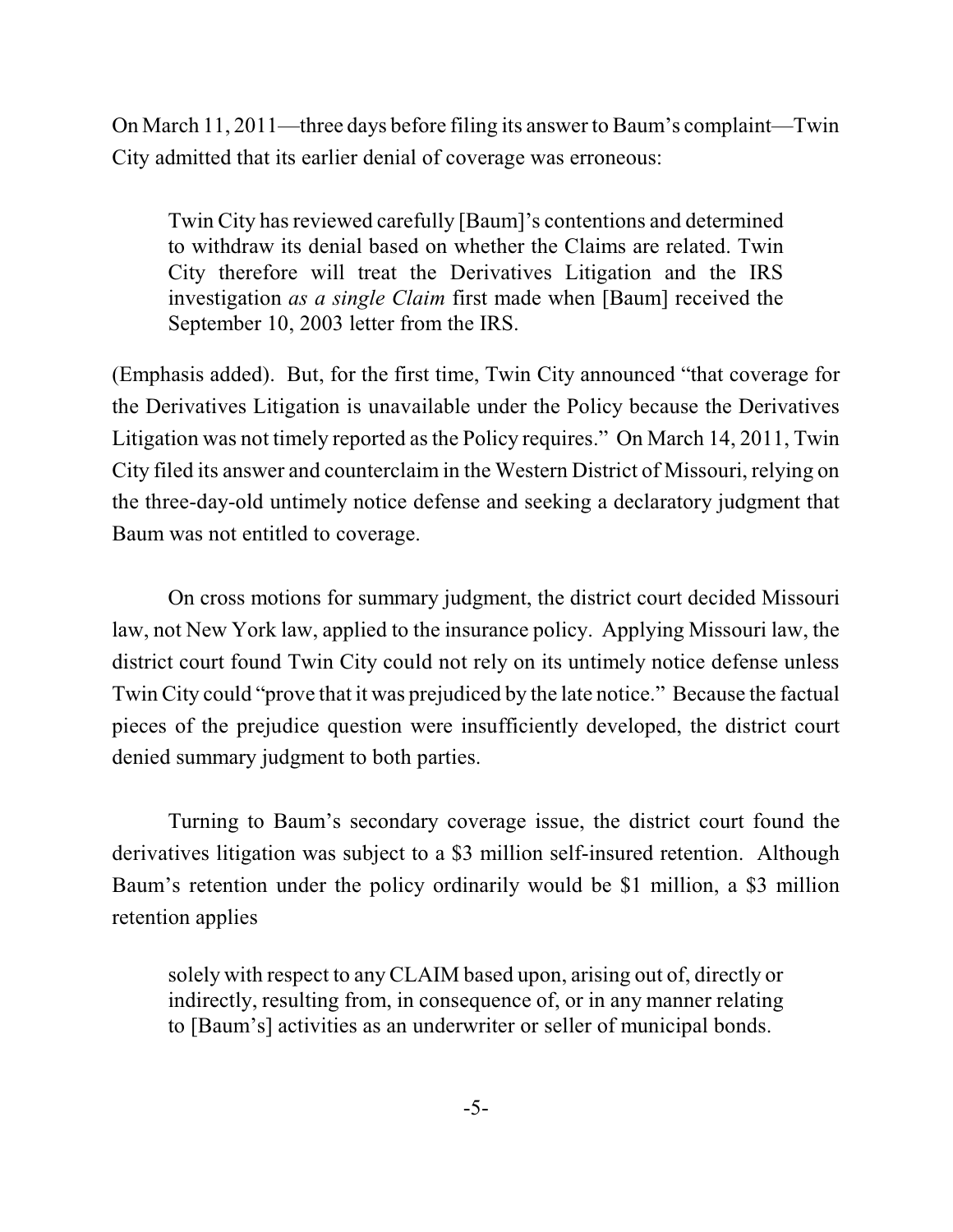On March 11, 2011—three days before filing its answer to Baum's complaint—Twin City admitted that its earlier denial of coverage was erroneous:

Twin City has reviewed carefully [Baum]'s contentions and determined to withdraw its denial based on whether the Claims are related. Twin City therefore will treat the Derivatives Litigation and the IRS investigation *as a single Claim* first made when [Baum] received the September 10, 2003 letter from the IRS.

(Emphasis added). But, for the first time, Twin City announced "that coverage for the Derivatives Litigation is unavailable under the Policy because the Derivatives Litigation was not timely reported asthe Policy requires." On March 14, 2011, Twin City filed its answer and counterclaim in the Western District of Missouri, relying on the three-day-old untimely notice defense and seeking a declaratory judgment that Baum was not entitled to coverage.

On cross motions for summary judgment, the district court decided Missouri law, not New York law, applied to the insurance policy. Applying Missouri law, the district court found Twin City could not rely on its untimely notice defense unless Twin City could "prove that it was prejudiced by the late notice." Because the factual pieces of the prejudice question were insufficiently developed, the district court denied summary judgment to both parties.

Turning to Baum's secondary coverage issue, the district court found the derivatives litigation was subject to a \$3 million self-insured retention. Although Baum's retention under the policy ordinarily would be \$1 million, a \$3 million retention applies

solely with respect to any CLAIM based upon, arising out of, directly or indirectly, resulting from, in consequence of, or in any manner relating to [Baum's] activities as an underwriter or seller of municipal bonds.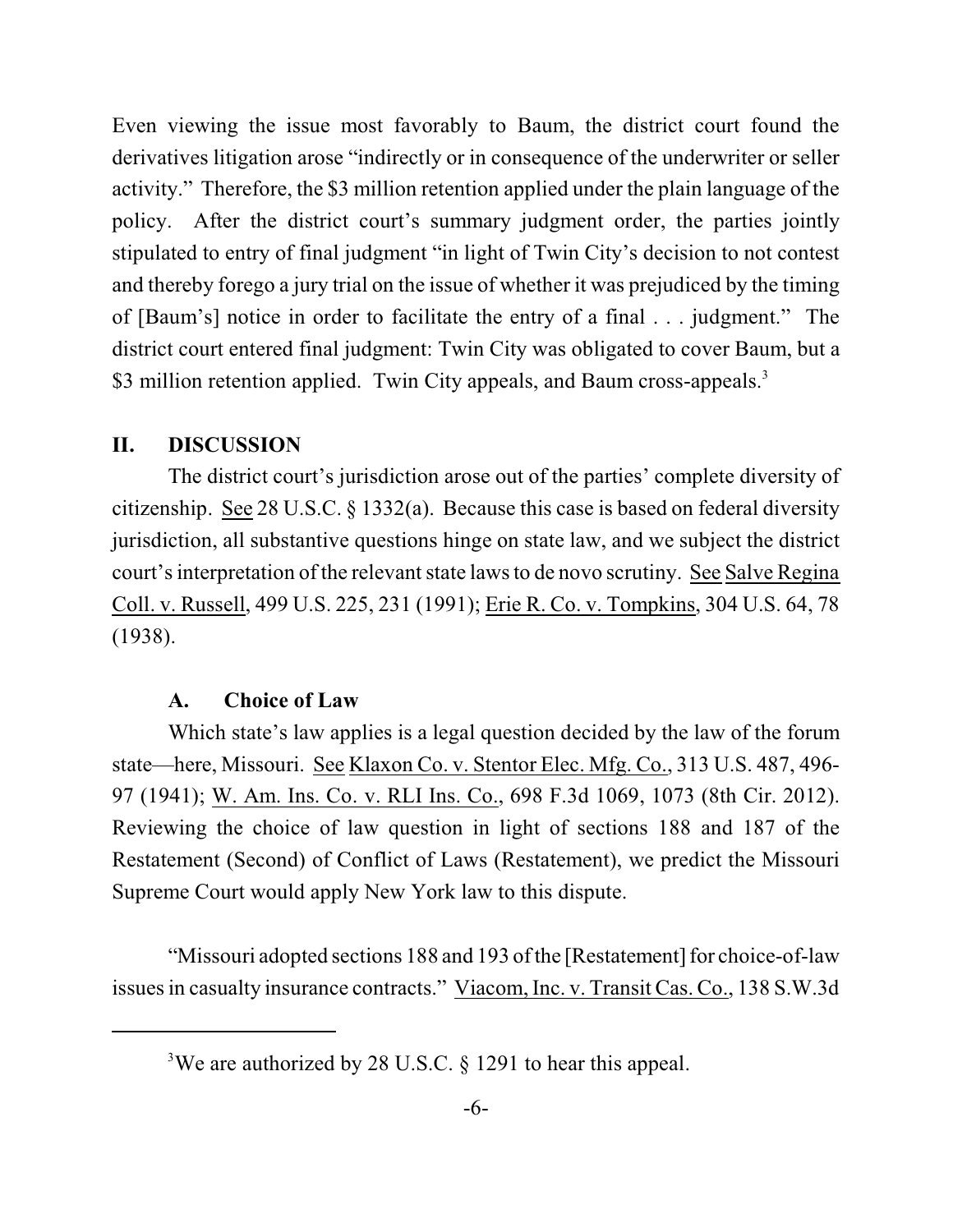Even viewing the issue most favorably to Baum, the district court found the derivatives litigation arose "indirectly or in consequence of the underwriter or seller activity." Therefore, the \$3 million retention applied under the plain language of the policy. After the district court's summary judgment order, the parties jointly stipulated to entry of final judgment "in light of Twin City's decision to not contest and thereby forego a jury trial on the issue of whether it was prejudiced by the timing of [Baum's] notice in order to facilitate the entry of a final . . . judgment." The district court entered final judgment: Twin City was obligated to cover Baum, but a \$3 million retention applied. Twin City appeals, and Baum cross-appeals.<sup>3</sup>

#### **II. DISCUSSION**

The district court's jurisdiction arose out of the parties' complete diversity of citizenship. See 28 U.S.C. § 1332(a). Because this case is based on federal diversity jurisdiction, all substantive questions hinge on state law, and we subject the district court's interpretation of the relevant state laws to de novo scrutiny. See Salve Regina Coll. v. Russell, 499 U.S. 225, 231 (1991); Erie R. Co. v. Tompkins, 304 U.S. 64, 78 (1938).

#### **A. Choice of Law**

Which state's law applies is a legal question decided by the law of the forum state—here, Missouri. See Klaxon Co. v. Stentor Elec. Mfg. Co., 313 U.S. 487, 496- 97 (1941); W. Am. Ins. Co. v. RLI Ins. Co., 698 F.3d 1069, 1073 (8th Cir. 2012). Reviewing the choice of law question in light of sections 188 and 187 of the Restatement (Second) of Conflict of Laws (Restatement), we predict the Missouri Supreme Court would apply New York law to this dispute.

"Missouri adopted sections 188 and 193 ofthe [Restatement] for choice-of-law issues in casualty insurance contracts." Viacom, Inc. v. Transit Cas. Co., 138 S.W.3d

<sup>&</sup>lt;sup>3</sup>We are authorized by 28 U.S.C.  $\S$  1291 to hear this appeal.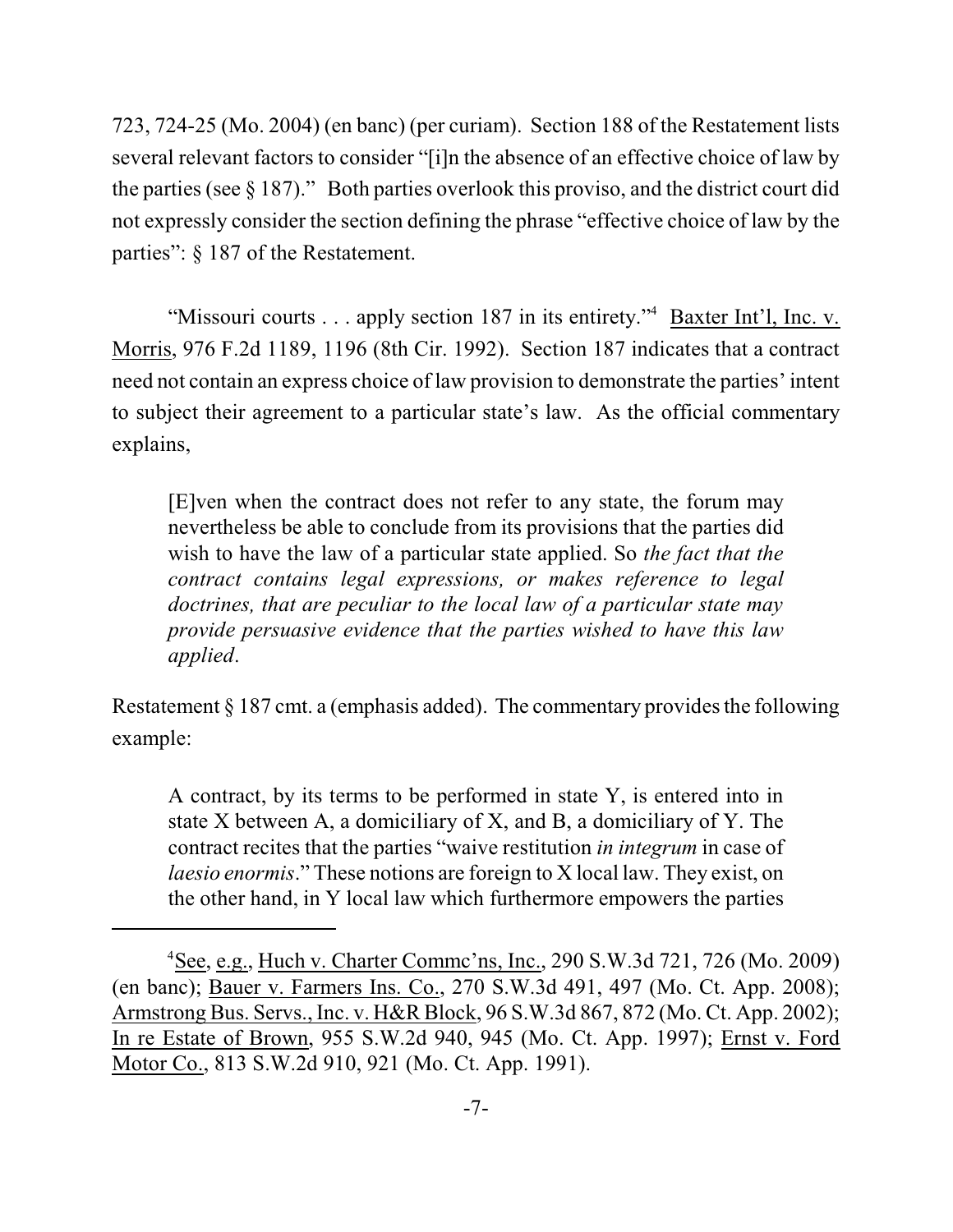723, 724-25 (Mo. 2004) (en banc) (per curiam). Section 188 of the Restatement lists several relevant factors to consider "[i]n the absence of an effective choice of law by the parties (see § 187)." Both parties overlook this proviso, and the district court did not expressly consider the section defining the phrase "effective choice of law by the parties": § 187 of the Restatement.

"Missouri courts . . . apply section 187 in its entirety." Baxter Int'l, Inc. v. Morris, 976 F.2d 1189, 1196 (8th Cir. 1992). Section 187 indicates that a contract need not contain an express choice of law provision to demonstrate the parties' intent to subject their agreement to a particular state's law. As the official commentary explains,

[E]ven when the contract does not refer to any state, the forum may nevertheless be able to conclude from its provisions that the parties did wish to have the law of a particular state applied. So *the fact that the contract contains legal expressions, or makes reference to legal doctrines, that are peculiar to the local law of a particular state may provide persuasive evidence that the parties wished to have this law applied*.

Restatement  $\S 187$  cmt. a (emphasis added). The commentary provides the following example:

A contract, by its terms to be performed in state Y, is entered into in state X between A, a domiciliary of X, and B, a domiciliary of Y. The contract recites that the parties "waive restitution *in integrum* in case of *laesio enormis*." These notions are foreign to X local law. They exist, on the other hand, in Y local law which furthermore empowers the parties

<sup>&</sup>lt;sup>4</sup>See, e.g., Huch v. Charter Commc'ns, Inc., 290 S.W.3d 721, 726 (Mo. 2009) (en banc); Bauer v. Farmers Ins. Co., 270 S.W.3d 491, 497 (Mo. Ct. App. 2008); Armstrong Bus. Servs., Inc. v. H&R Block, 96 S.W.3d 867, 872 (Mo. Ct. App. 2002); In re Estate of Brown, 955 S.W.2d 940, 945 (Mo. Ct. App. 1997); Ernst v. Ford Motor Co., 813 S.W.2d 910, 921 (Mo. Ct. App. 1991).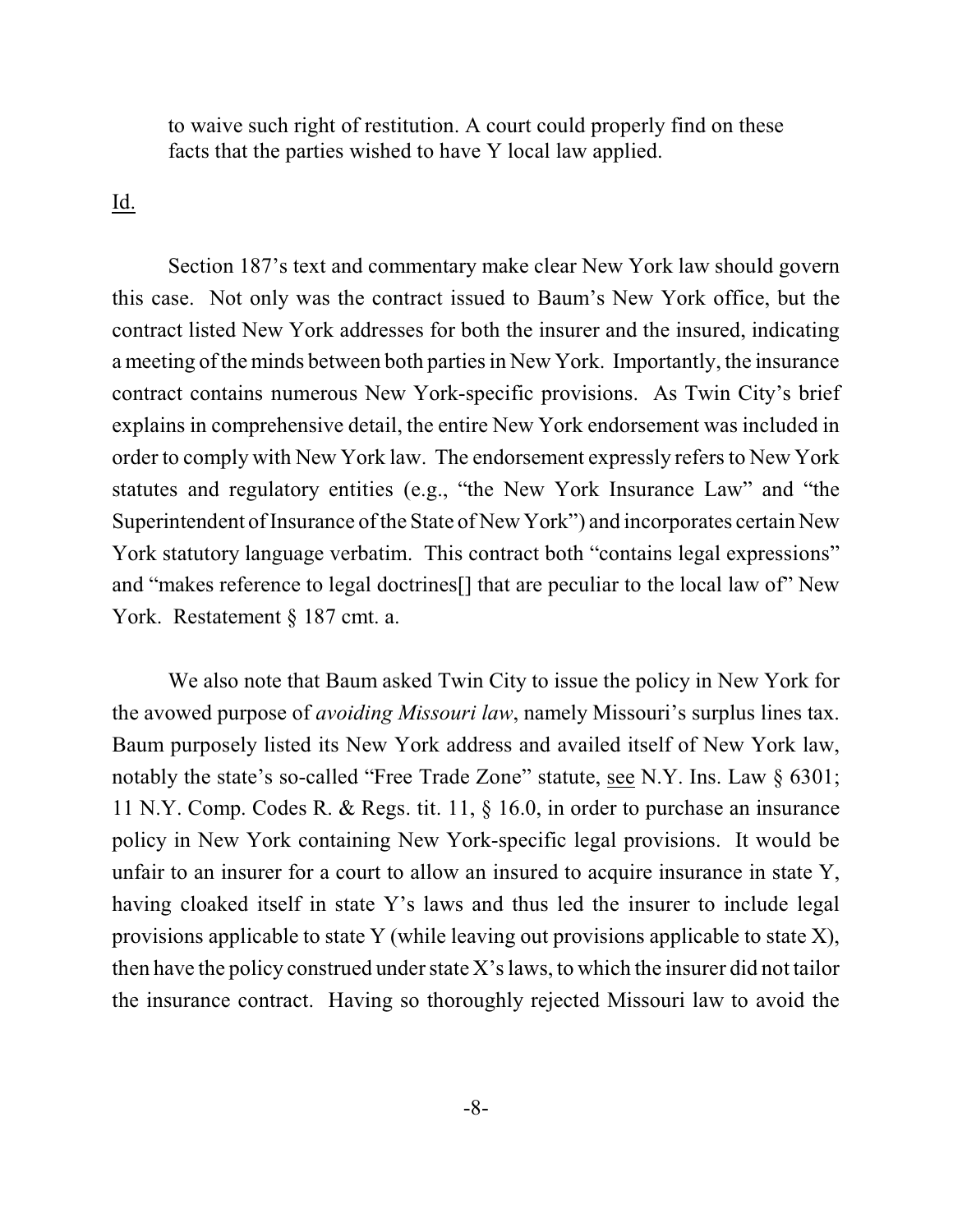to waive such right of restitution. A court could properly find on these facts that the parties wished to have Y local law applied.

Id.

Section 187's text and commentary make clear New York law should govern this case. Not only was the contract issued to Baum's New York office, but the contract listed New York addresses for both the insurer and the insured, indicating a meeting of the minds between both partiesin New York. Importantly, the insurance contract contains numerous New York-specific provisions. As Twin City's brief explains in comprehensive detail, the entire New York endorsement was included in order to comply with New York law. The endorsement expressly refersto New York statutes and regulatory entities (e.g., "the New York Insurance Law" and "the Superintendent of Insurance of the State of New York") and incorporates certain New York statutory language verbatim. This contract both "contains legal expressions" and "makes reference to legal doctrines[] that are peculiar to the local law of" New York. Restatement § 187 cmt. a.

We also note that Baum asked Twin City to issue the policy in New York for the avowed purpose of *avoiding Missouri law*, namely Missouri's surplus lines tax. Baum purposely listed its New York address and availed itself of New York law, notably the state's so-called "Free Trade Zone" statute, see N.Y. Ins. Law § 6301; 11 N.Y. Comp. Codes R. & Regs. tit. 11, § 16.0, in order to purchase an insurance policy in New York containing New York-specific legal provisions. It would be unfair to an insurer for a court to allow an insured to acquire insurance in state Y, having cloaked itself in state Y's laws and thus led the insurer to include legal provisions applicable to state Y (while leaving out provisions applicable to state X), then have the policy construed under state X's laws, to which the insurer did not tailor the insurance contract. Having so thoroughly rejected Missouri law to avoid the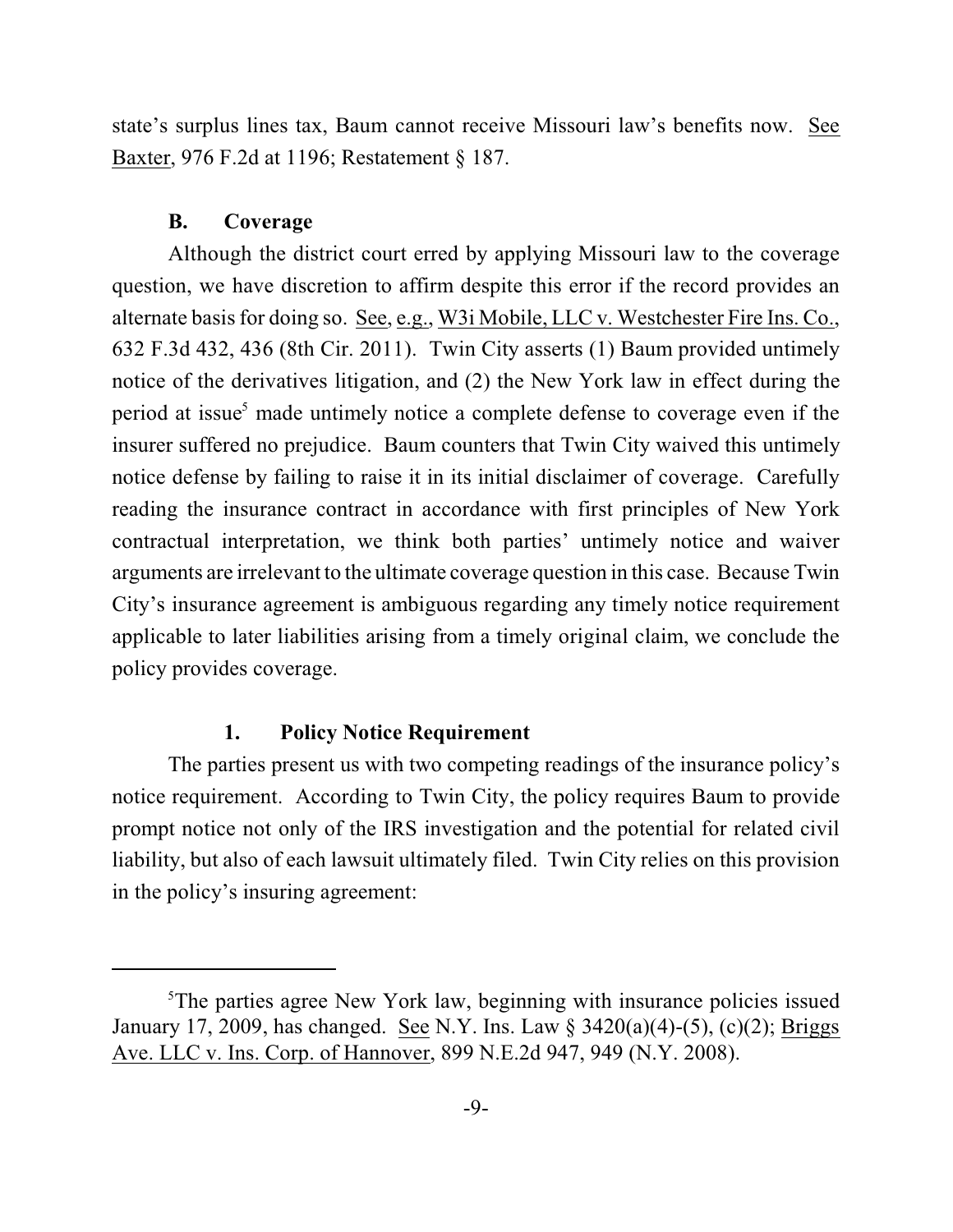state's surplus lines tax, Baum cannot receive Missouri law's benefits now. See Baxter, 976 F.2d at 1196; Restatement § 187.

#### **B. Coverage**

Although the district court erred by applying Missouri law to the coverage question, we have discretion to affirm despite this error if the record provides an alternate basis for doing so. See, e.g., W3i Mobile, LLC v. Westchester Fire Ins. Co., 632 F.3d 432, 436 (8th Cir. 2011). Twin City asserts (1) Baum provided untimely notice of the derivatives litigation, and (2) the New York law in effect during the period at issue<sup>5</sup> made untimely notice a complete defense to coverage even if the insurer suffered no prejudice. Baum counters that Twin City waived this untimely notice defense by failing to raise it in its initial disclaimer of coverage. Carefully reading the insurance contract in accordance with first principles of New York contractual interpretation, we think both parties' untimely notice and waiver arguments are irrelevant to the ultimate coverage question in this case. Because Twin City's insurance agreement is ambiguous regarding any timely notice requirement applicable to later liabilities arising from a timely original claim, we conclude the policy provides coverage.

#### **1. Policy Notice Requirement**

The parties present us with two competing readings of the insurance policy's notice requirement. According to Twin City, the policy requires Baum to provide prompt notice not only of the IRS investigation and the potential for related civil liability, but also of each lawsuit ultimately filed. Twin City relies on this provision in the policy's insuring agreement:

 ${}^5$ The parties agree New York law, beginning with insurance policies issued January 17, 2009, has changed. See N.Y. Ins. Law § 3420(a)(4)-(5), (c)(2); Briggs Ave. LLC v. Ins. Corp. of Hannover, 899 N.E.2d 947, 949 (N.Y. 2008).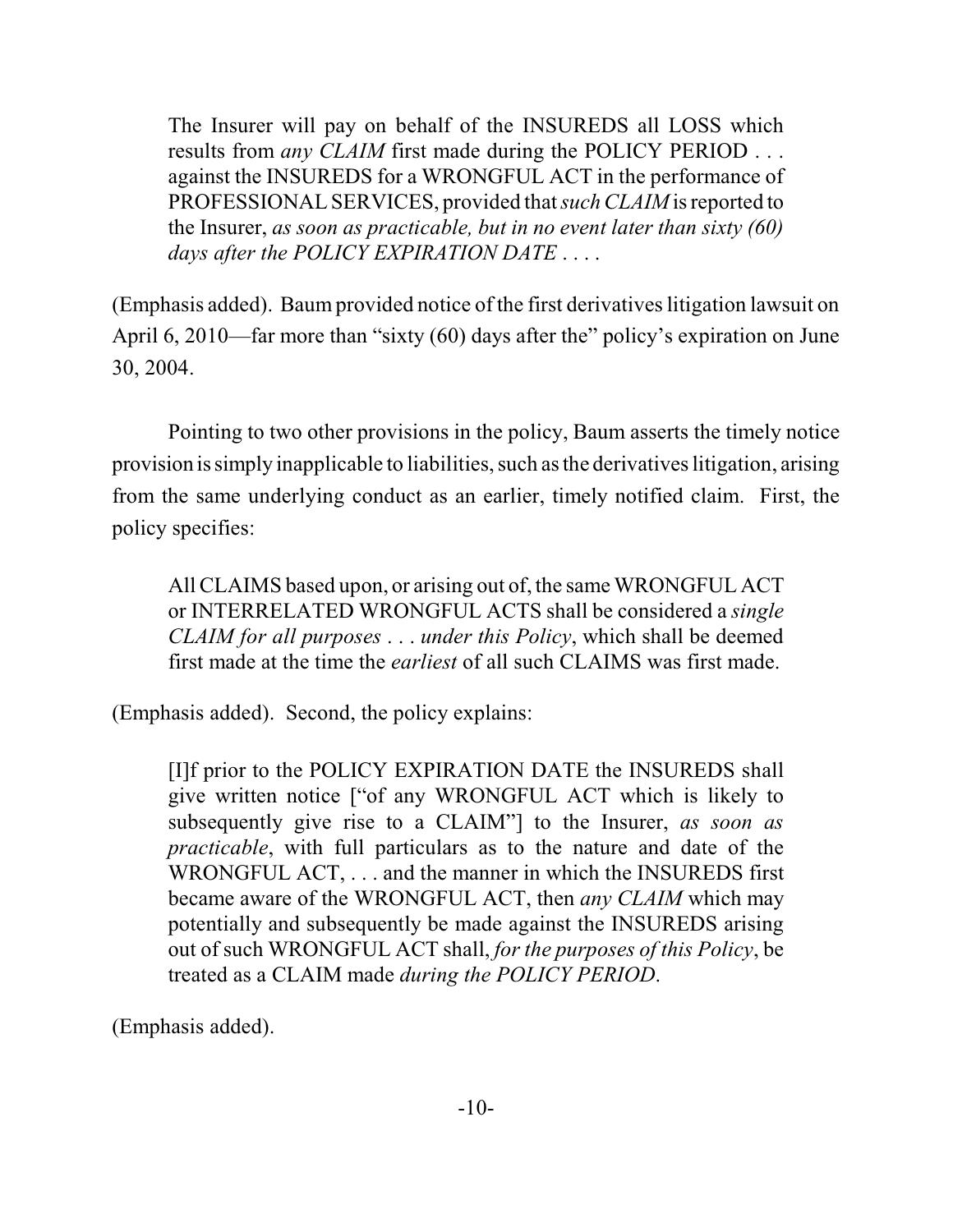The Insurer will pay on behalf of the INSUREDS all LOSS which results from *any CLAIM* first made during the POLICY PERIOD . . . against the INSUREDS for a WRONGFUL ACT in the performance of PROFESSIONAL SERVICES, provided that *such CLAIM* is reported to the Insurer, *as soon as practicable, but in no event later than sixty (60) days after the POLICY EXPIRATION DATE* . . . .

(Emphasis added). Baumprovided notice of the first derivativeslitigation lawsuit on April 6, 2010—far more than "sixty (60) days after the" policy's expiration on June 30, 2004.

Pointing to two other provisions in the policy, Baum asserts the timely notice provision is simply inapplicable to liabilities, such asthe derivativeslitigation, arising from the same underlying conduct as an earlier, timely notified claim. First, the policy specifies:

All CLAIMS based upon, or arising out of, the same WRONGFUL ACT or INTERRELATED WRONGFUL ACTS shall be considered a *single CLAIM for all purposes* . . . *under this Policy*, which shall be deemed first made at the time the *earliest* of all such CLAIMS was first made.

(Emphasis added). Second, the policy explains:

[I]f prior to the POLICY EXPIRATION DATE the INSUREDS shall give written notice ["of any WRONGFUL ACT which is likely to subsequently give rise to a CLAIM"] to the Insurer, *as soon as practicable*, with full particulars as to the nature and date of the WRONGFUL ACT, . . . and the manner in which the INSUREDS first became aware of the WRONGFUL ACT, then *any CLAIM* which may potentially and subsequently be made against the INSUREDS arising out of such WRONGFUL ACT shall, *for the purposes of this Policy*, be treated as a CLAIM made *during the POLICY PERIOD*.

(Emphasis added).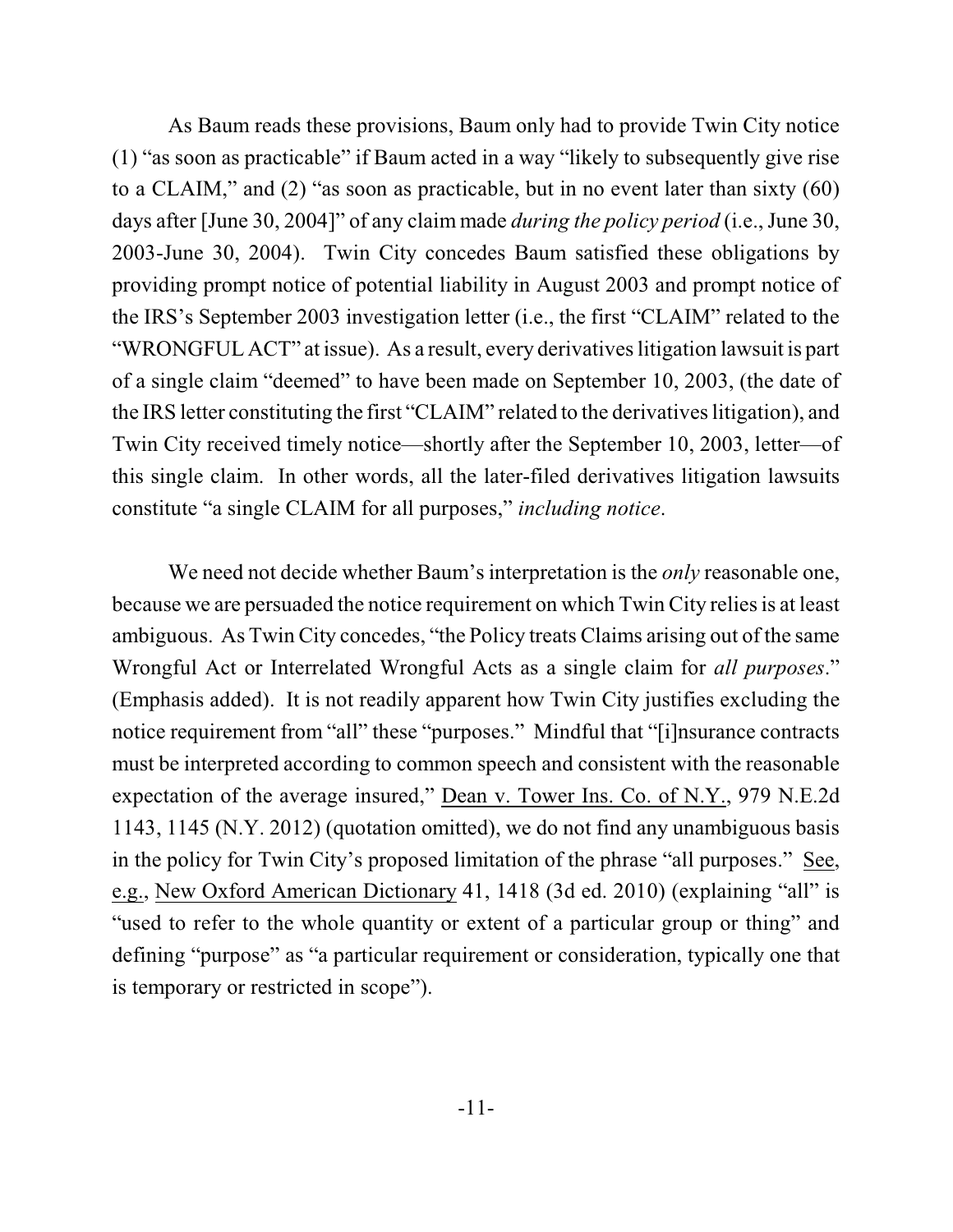As Baum reads these provisions, Baum only had to provide Twin City notice (1) "as soon as practicable" if Baum acted in a way "likely to subsequently give rise to a CLAIM," and (2) "as soon as practicable, but in no event later than sixty (60) days after [June 30, 2004]" of any claim made *during the policy period* (i.e., June 30, 2003-June 30, 2004). Twin City concedes Baum satisfied these obligations by providing prompt notice of potential liability in August 2003 and prompt notice of the IRS's September 2003 investigation letter (i.e., the first "CLAIM" related to the "WRONGFUL ACT" at issue). As a result, every derivatives litigation lawsuit is part of a single claim "deemed" to have been made on September 10, 2003, (the date of the IRS letter constituting the first "CLAIM" related to the derivatives litigation), and Twin City received timely notice—shortly after the September 10, 2003, letter—of this single claim. In other words, all the later-filed derivatives litigation lawsuits constitute "a single CLAIM for all purposes," *including notice*.

We need not decide whether Baum's interpretation is the *only* reasonable one, because we are persuaded the notice requirement on which Twin City relies is at least ambiguous. As Twin City concedes, "the Policy treats Claims arising out of the same Wrongful Act or Interrelated Wrongful Acts as a single claim for *all purposes*." (Emphasis added). It is not readily apparent how Twin City justifies excluding the notice requirement from "all" these "purposes." Mindful that "[i]nsurance contracts must be interpreted according to common speech and consistent with the reasonable expectation of the average insured," Dean v. Tower Ins. Co. of N.Y., 979 N.E.2d 1143, 1145 (N.Y. 2012) (quotation omitted), we do not find any unambiguous basis in the policy for Twin City's proposed limitation of the phrase "all purposes." See, e.g., New Oxford American Dictionary 41, 1418 (3d ed. 2010) (explaining "all" is "used to refer to the whole quantity or extent of a particular group or thing" and defining "purpose" as "a particular requirement or consideration, typically one that is temporary or restricted in scope").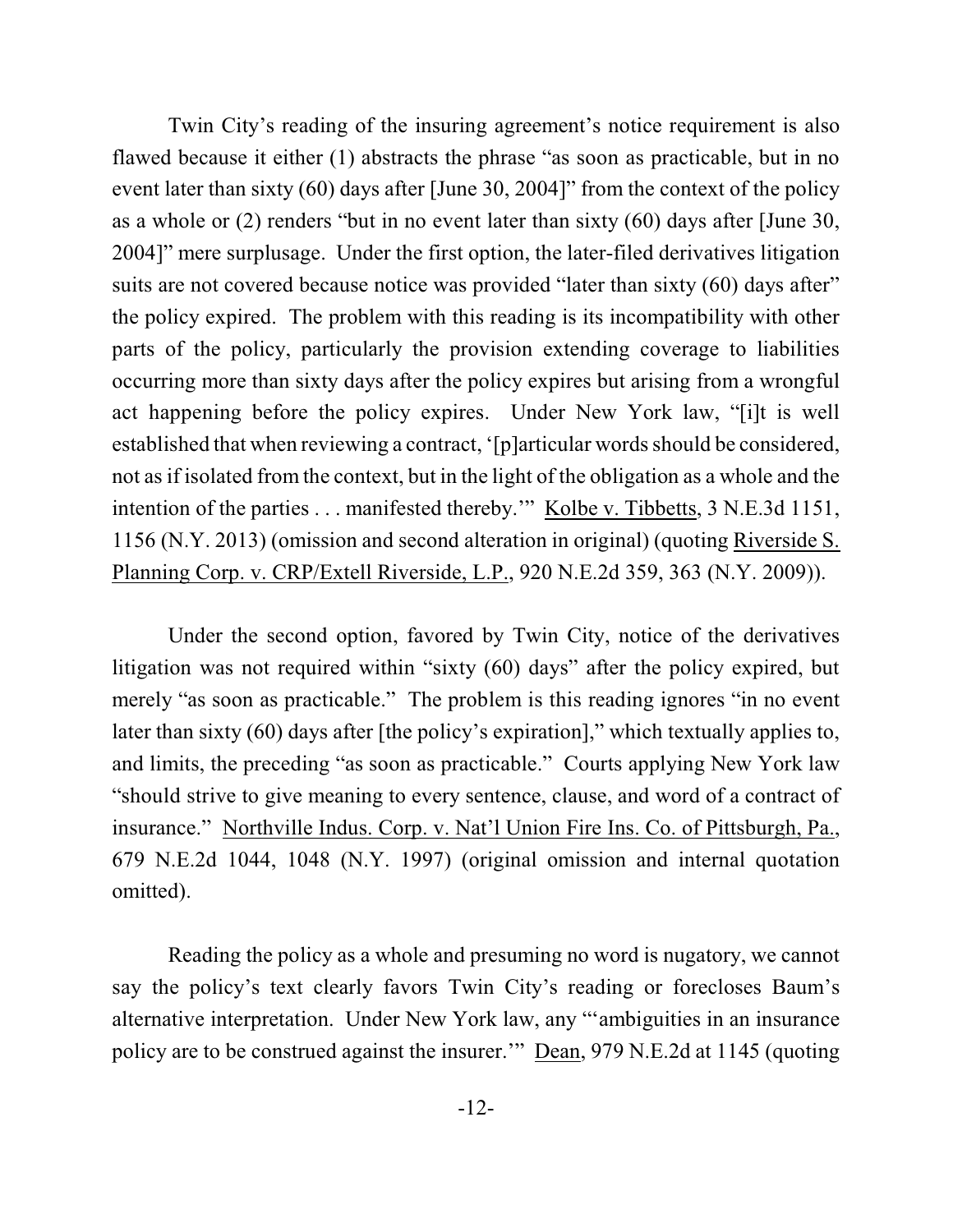Twin City's reading of the insuring agreement's notice requirement is also flawed because it either (1) abstracts the phrase "as soon as practicable, but in no event later than sixty (60) days after [June 30, 2004]" from the context of the policy as a whole or (2) renders "but in no event later than sixty (60) days after [June 30, 2004]" mere surplusage. Under the first option, the later-filed derivatives litigation suits are not covered because notice was provided "later than sixty (60) days after" the policy expired. The problem with this reading is its incompatibility with other parts of the policy, particularly the provision extending coverage to liabilities occurring more than sixty days after the policy expires but arising from a wrongful act happening before the policy expires. Under New York law, "[i]t is well established that when reviewing a contract, '[p]articular words should be considered, not as if isolated from the context, but in the light of the obligation as a whole and the intention of the parties . . . manifested thereby.'" Kolbe v. Tibbetts, 3 N.E.3d 1151, 1156 (N.Y. 2013) (omission and second alteration in original) (quoting Riverside S. Planning Corp. v. CRP/Extell Riverside, L.P., 920 N.E.2d 359, 363 (N.Y. 2009)).

Under the second option, favored by Twin City, notice of the derivatives litigation was not required within "sixty (60) days" after the policy expired, but merely "as soon as practicable." The problem is this reading ignores "in no event later than sixty (60) days after [the policy's expiration]," which textually applies to, and limits, the preceding "as soon as practicable." Courts applying New York law "should strive to give meaning to every sentence, clause, and word of a contract of insurance." Northville Indus. Corp. v. Nat'l Union Fire Ins. Co. of Pittsburgh, Pa., 679 N.E.2d 1044, 1048 (N.Y. 1997) (original omission and internal quotation omitted).

Reading the policy as a whole and presuming no word is nugatory, we cannot say the policy's text clearly favors Twin City's reading or forecloses Baum's alternative interpretation. Under New York law, any "'ambiguities in an insurance policy are to be construed against the insurer.'" Dean, 979 N.E.2d at 1145 (quoting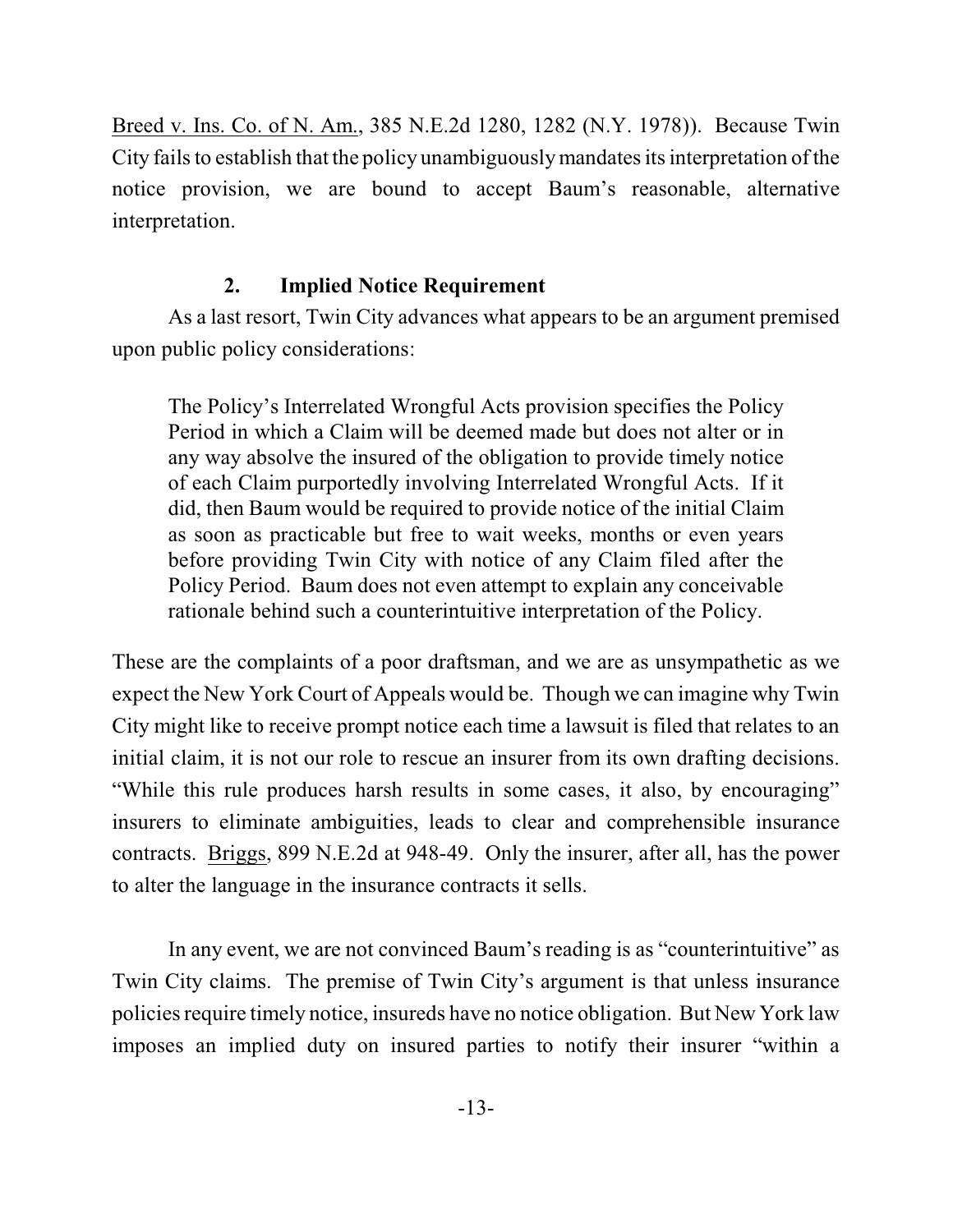Breed v. Ins. Co. of N. Am., 385 N.E.2d 1280, 1282 (N.Y. 1978)). Because Twin City fails to establish that the policy unambiguously mandates its interpretation of the notice provision, we are bound to accept Baum's reasonable, alternative interpretation.

## **2. Implied Notice Requirement**

As a last resort, Twin City advances what appears to be an argument premised upon public policy considerations:

The Policy's Interrelated Wrongful Acts provision specifies the Policy Period in which a Claim will be deemed made but does not alter or in any way absolve the insured of the obligation to provide timely notice of each Claim purportedly involving Interrelated Wrongful Acts. If it did, then Baum would be required to provide notice of the initial Claim as soon as practicable but free to wait weeks, months or even years before providing Twin City with notice of any Claim filed after the Policy Period. Baum does not even attempt to explain any conceivable rationale behind such a counterintuitive interpretation of the Policy.

These are the complaints of a poor draftsman, and we are as unsympathetic as we expect the New York Court of Appeals would be. Though we can imagine why Twin City might like to receive prompt notice each time a lawsuit is filed that relates to an initial claim, it is not our role to rescue an insurer from its own drafting decisions. "While this rule produces harsh results in some cases, it also, by encouraging" insurers to eliminate ambiguities, leads to clear and comprehensible insurance contracts. Briggs, 899 N.E.2d at 948-49. Only the insurer, after all, has the power to alter the language in the insurance contracts it sells.

In any event, we are not convinced Baum's reading is as "counterintuitive" as Twin City claims. The premise of Twin City's argument is that unless insurance policies require timely notice, insureds have no notice obligation. But New York law imposes an implied duty on insured parties to notify their insurer "within a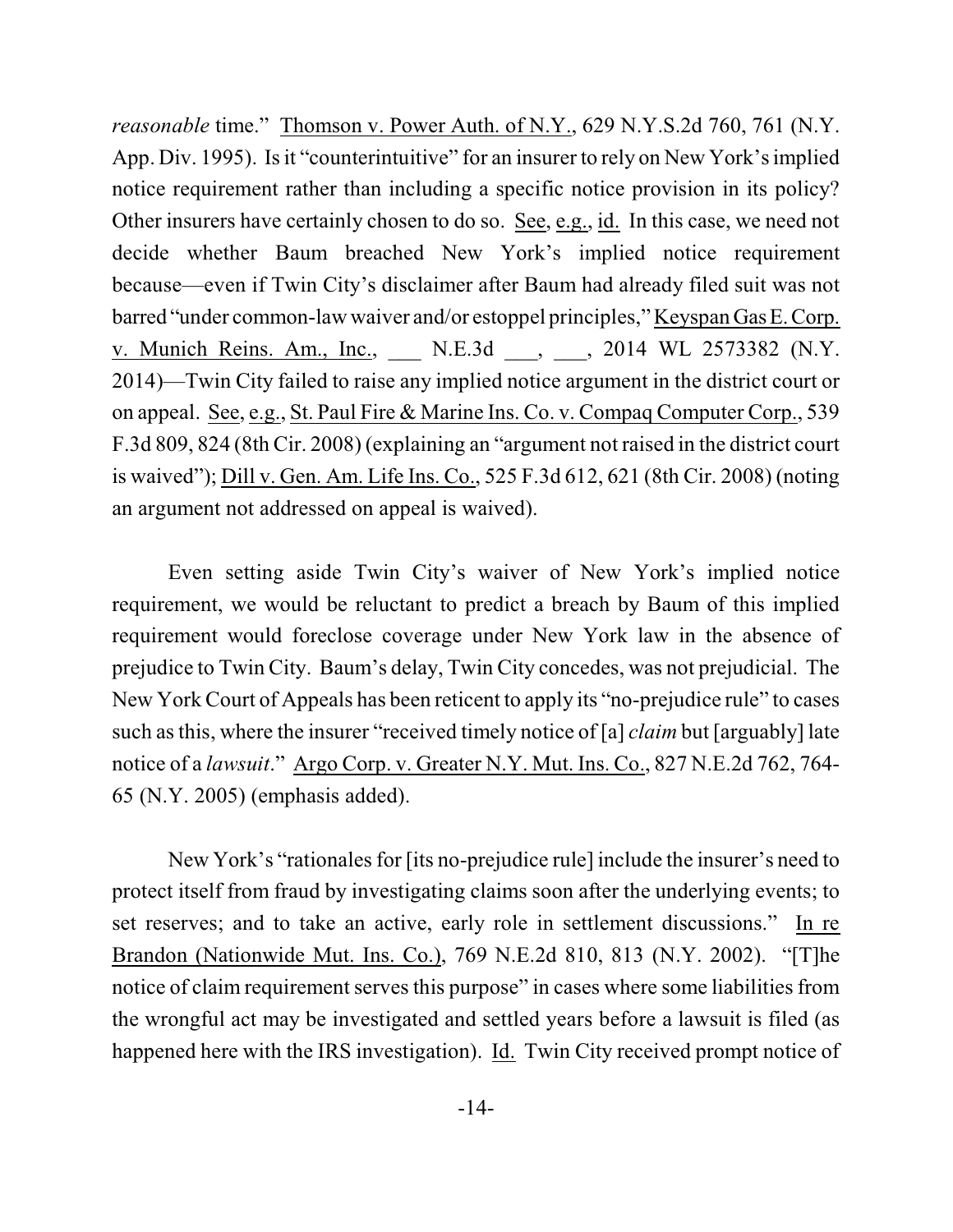*reasonable* time." Thomson v. Power Auth. of N.Y., 629 N.Y.S.2d 760, 761 (N.Y. App. Div. 1995). Is it "counterintuitive" for an insurer to rely on New York's implied notice requirement rather than including a specific notice provision in its policy? Other insurers have certainly chosen to do so. See, e.g., id. In this case, we need not decide whether Baum breached New York's implied notice requirement because—even if Twin City's disclaimer after Baum had already filed suit was not barred "under common-law waiver and/or estoppel principles," Keyspan GasE.Corp. v. Munich Reins. Am., Inc., <br>N.E.3d , 2014 WL 2573382 (N.Y. 2014)—Twin City failed to raise any implied notice argument in the district court or on appeal. See, e.g., St. Paul Fire & Marine Ins. Co. v. Compaq Computer Corp., 539 F.3d 809, 824 (8th Cir. 2008) (explaining an "argument not raised in the district court is waived"); Dill v. Gen. Am. Life Ins. Co., 525 F.3d 612, 621 (8th Cir. 2008) (noting an argument not addressed on appeal is waived).

Even setting aside Twin City's waiver of New York's implied notice requirement, we would be reluctant to predict a breach by Baum of this implied requirement would foreclose coverage under New York law in the absence of prejudice to Twin City. Baum's delay, Twin City concedes, was not prejudicial. The New York Court of Appeals has been reticent to apply its "no-prejudice rule" to cases such asthis, where the insurer "received timely notice of [a] *claim* but [arguably] late notice of a *lawsuit*." Argo Corp. v. Greater N.Y. Mut. Ins. Co., 827 N.E.2d 762, 764- 65 (N.Y. 2005) (emphasis added).

New York's "rationales for [its no-prejudice rule] include the insurer's need to protect itself from fraud by investigating claims soon after the underlying events; to set reserves; and to take an active, early role in settlement discussions." In re Brandon (Nationwide Mut. Ins. Co.), 769 N.E.2d 810, 813 (N.Y. 2002). "[T]he notice of claim requirement serves this purpose" in cases where some liabilities from the wrongful act may be investigated and settled years before a lawsuit is filed (as happened here with the IRS investigation). Id. Twin City received prompt notice of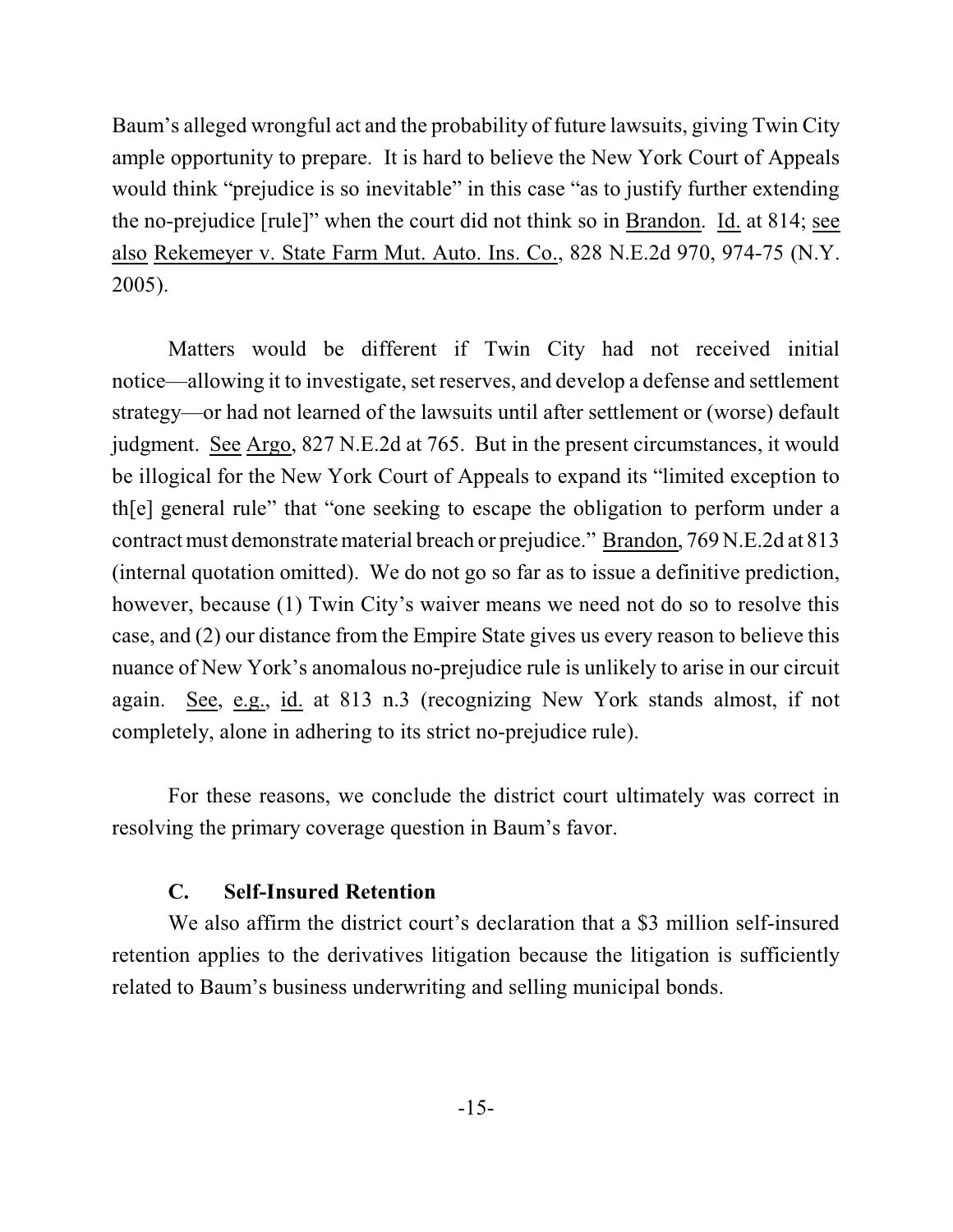Baum's alleged wrongful act and the probability of future lawsuits, giving Twin City ample opportunity to prepare. It is hard to believe the New York Court of Appeals would think "prejudice is so inevitable" in this case "as to justify further extending the no-prejudice [rule]" when the court did not think so in Brandon. Id. at 814; see also Rekemeyer v. State Farm Mut. Auto. Ins. Co., 828 N.E.2d 970, 974-75 (N.Y. 2005).

Matters would be different if Twin City had not received initial notice—allowing it to investigate, set reserves, and develop a defense and settlement strategy—or had not learned of the lawsuits until after settlement or (worse) default judgment. See Argo, 827 N.E.2d at 765. But in the present circumstances, it would be illogical for the New York Court of Appeals to expand its "limited exception to th[e] general rule" that "one seeking to escape the obligation to perform under a contractmust demonstrate material breach or prejudice." Brandon, 769 N.E.2d at 813 (internal quotation omitted). We do not go so far as to issue a definitive prediction, however, because (1) Twin City's waiver means we need not do so to resolve this case, and (2) our distance from the Empire State gives us every reason to believe this nuance of New York's anomalous no-prejudice rule is unlikely to arise in our circuit again. See, e.g., id. at 813 n.3 (recognizing New York stands almost, if not completely, alone in adhering to its strict no-prejudice rule).

For these reasons, we conclude the district court ultimately was correct in resolving the primary coverage question in Baum's favor.

### **C. Self-Insured Retention**

We also affirm the district court's declaration that a \$3 million self-insured retention applies to the derivatives litigation because the litigation is sufficiently related to Baum's business underwriting and selling municipal bonds.